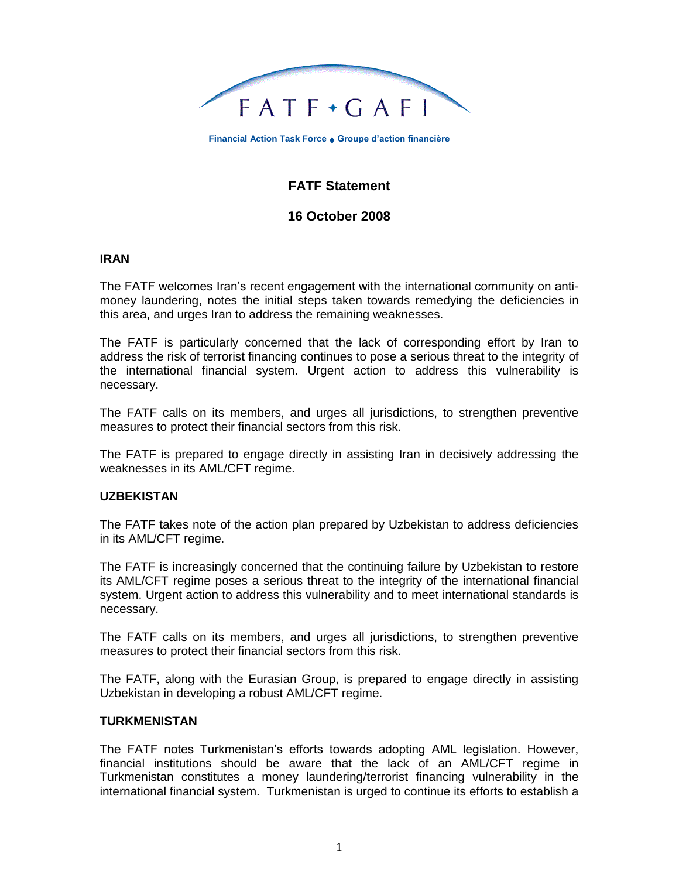

**Financial Action Task Force Groupe d'action financière**

# **FATF Statement**

## **16 October 2008**

#### **IRAN**

The FATF welcomes Iran's recent engagement with the international community on antimoney laundering, notes the initial steps taken towards remedying the deficiencies in this area, and urges Iran to address the remaining weaknesses.

The FATF is particularly concerned that the lack of corresponding effort by Iran to address the risk of terrorist financing continues to pose a serious threat to the integrity of the international financial system. Urgent action to address this vulnerability is necessary.

The FATF calls on its members, and urges all jurisdictions, to strengthen preventive measures to protect their financial sectors from this risk.

The FATF is prepared to engage directly in assisting Iran in decisively addressing the weaknesses in its AML/CFT regime.

#### **UZBEKISTAN**

The FATF takes note of the action plan prepared by Uzbekistan to address deficiencies in its AML/CFT regime.

The FATF is increasingly concerned that the continuing failure by Uzbekistan to restore its AML/CFT regime poses a serious threat to the integrity of the international financial system. Urgent action to address this vulnerability and to meet international standards is necessary.

The FATF calls on its members, and urges all jurisdictions, to strengthen preventive measures to protect their financial sectors from this risk.

The FATF, along with the Eurasian Group, is prepared to engage directly in assisting Uzbekistan in developing a robust AML/CFT regime.

#### **TURKMENISTAN**

The FATF notes Turkmenistan's efforts towards adopting AML legislation. However, financial institutions should be aware that the lack of an AML/CFT regime in Turkmenistan constitutes a money laundering/terrorist financing vulnerability in the international financial system. Turkmenistan is urged to continue its efforts to establish a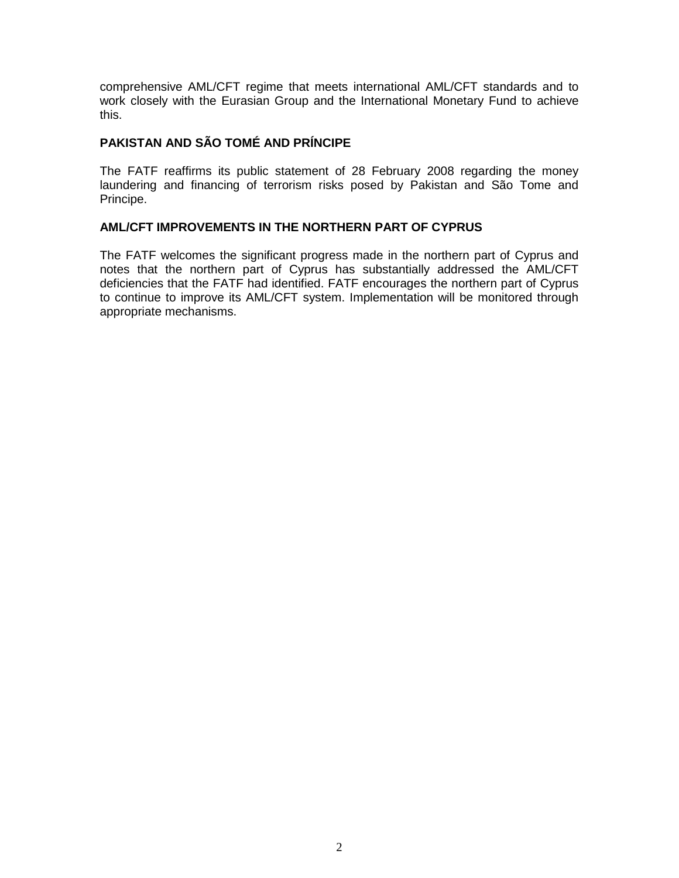comprehensive AML/CFT regime that meets international AML/CFT standards and to work closely with the Eurasian Group and the International Monetary Fund to achieve this.

## **PAKISTAN AND SÃO TOMÉ AND PRÍNCIPE**

The FATF reaffirms its public statement of 28 February 2008 regarding the money laundering and financing of terrorism risks posed by Pakistan and São Tome and Principe.

### **AML/CFT IMPROVEMENTS IN THE NORTHERN PART OF CYPRUS**

The FATF welcomes the significant progress made in the northern part of Cyprus and notes that the northern part of Cyprus has substantially addressed the AML/CFT deficiencies that the FATF had identified. FATF encourages the northern part of Cyprus to continue to improve its AML/CFT system. Implementation will be monitored through appropriate mechanisms.